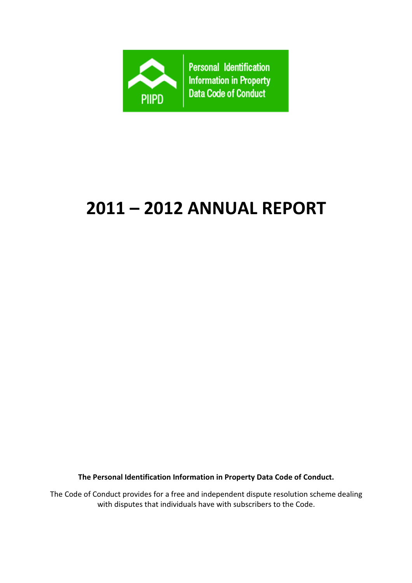

# 2011 – 2012 ANNUAL REPORT

The Personal Identification Information in Property Data Code of Conduct.

The Code of Conduct provides for a free and independent dispute resolution scheme dealing with disputes that individuals have with subscribers to the Code.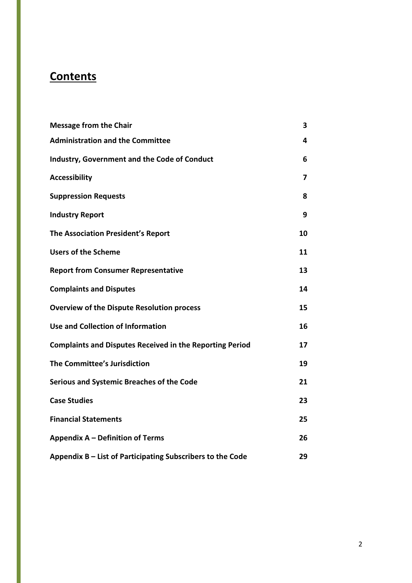### **Contents**

| <b>Message from the Chair</b>                                   | 3  |
|-----------------------------------------------------------------|----|
| <b>Administration and the Committee</b>                         | 4  |
| <b>Industry, Government and the Code of Conduct</b>             | 6  |
| <b>Accessibility</b>                                            | 7  |
| <b>Suppression Requests</b>                                     | 8  |
| <b>Industry Report</b>                                          | 9  |
| The Association President's Report                              | 10 |
| <b>Users of the Scheme</b>                                      | 11 |
| <b>Report from Consumer Representative</b>                      | 13 |
| <b>Complaints and Disputes</b>                                  | 14 |
| <b>Overview of the Dispute Resolution process</b>               | 15 |
| Use and Collection of Information                               | 16 |
| <b>Complaints and Disputes Received in the Reporting Period</b> | 17 |
| The Committee's Jurisdiction                                    | 19 |
| <b>Serious and Systemic Breaches of the Code</b>                | 21 |
| <b>Case Studies</b>                                             | 23 |
| <b>Financial Statements</b>                                     | 25 |
| Appendix A - Definition of Terms                                | 26 |
| Appendix B - List of Participating Subscribers to the Code      | 29 |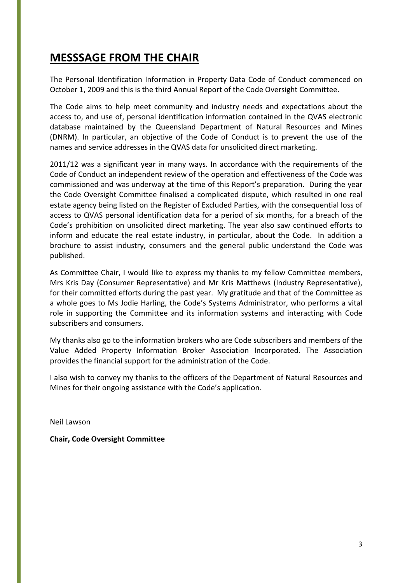### MESSSAGE FROM THE CHAIR

The Personal Identification Information in Property Data Code of Conduct commenced on October 1, 2009 and this is the third Annual Report of the Code Oversight Committee.

The Code aims to help meet community and industry needs and expectations about the access to, and use of, personal identification information contained in the QVAS electronic database maintained by the Queensland Department of Natural Resources and Mines (DNRM). In particular, an objective of the Code of Conduct is to prevent the use of the names and service addresses in the QVAS data for unsolicited direct marketing.

2011/12 was a significant year in many ways. In accordance with the requirements of the Code of Conduct an independent review of the operation and effectiveness of the Code was commissioned and was underway at the time of this Report's preparation. During the year the Code Oversight Committee finalised a complicated dispute, which resulted in one real estate agency being listed on the Register of Excluded Parties, with the consequential loss of access to QVAS personal identification data for a period of six months, for a breach of the Code's prohibition on unsolicited direct marketing. The year also saw continued efforts to inform and educate the real estate industry, in particular, about the Code. In addition a brochure to assist industry, consumers and the general public understand the Code was published.

As Committee Chair, I would like to express my thanks to my fellow Committee members, Mrs Kris Day (Consumer Representative) and Mr Kris Matthews (Industry Representative), for their committed efforts during the past year. My gratitude and that of the Committee as a whole goes to Ms Jodie Harling, the Code's Systems Administrator, who performs a vital role in supporting the Committee and its information systems and interacting with Code subscribers and consumers.

My thanks also go to the information brokers who are Code subscribers and members of the Value Added Property Information Broker Association Incorporated. The Association provides the financial support for the administration of the Code.

I also wish to convey my thanks to the officers of the Department of Natural Resources and Mines for their ongoing assistance with the Code's application.

Neil Lawson

Chair, Code Oversight Committee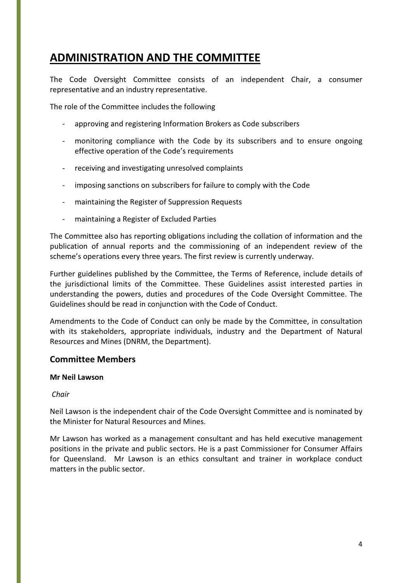### ADMINISTRATION AND THE COMMITTEE

The Code Oversight Committee consists of an independent Chair, a consumer representative and an industry representative.

The role of the Committee includes the following

- approving and registering Information Brokers as Code subscribers
- monitoring compliance with the Code by its subscribers and to ensure ongoing effective operation of the Code's requirements
- receiving and investigating unresolved complaints
- imposing sanctions on subscribers for failure to comply with the Code
- maintaining the Register of Suppression Requests
- maintaining a Register of Excluded Parties

The Committee also has reporting obligations including the collation of information and the publication of annual reports and the commissioning of an independent review of the scheme's operations every three years. The first review is currently underway.

Further guidelines published by the Committee, the Terms of Reference, include details of the jurisdictional limits of the Committee. These Guidelines assist interested parties in understanding the powers, duties and procedures of the Code Oversight Committee. The Guidelines should be read in conjunction with the Code of Conduct.

Amendments to the Code of Conduct can only be made by the Committee, in consultation with its stakeholders, appropriate individuals, industry and the Department of Natural Resources and Mines (DNRM, the Department).

#### Committee Members

#### Mr Neil Lawson

#### Chair

Neil Lawson is the independent chair of the Code Oversight Committee and is nominated by the Minister for Natural Resources and Mines.

Mr Lawson has worked as a management consultant and has held executive management positions in the private and public sectors. He is a past Commissioner for Consumer Affairs for Queensland. Mr Lawson is an ethics consultant and trainer in workplace conduct matters in the public sector.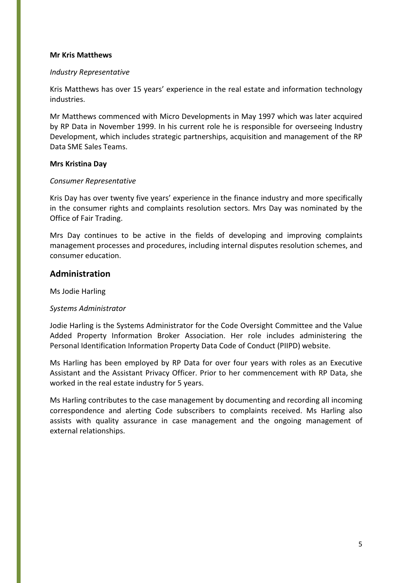#### Mr Kris Matthews

#### Industry Representative

Kris Matthews has over 15 years' experience in the real estate and information technology industries.

Mr Matthews commenced with Micro Developments in May 1997 which was later acquired by RP Data in November 1999. In his current role he is responsible for overseeing Industry Development, which includes strategic partnerships, acquisition and management of the RP Data SME Sales Teams.

#### Mrs Kristina Day

#### Consumer Representative

Kris Day has over twenty five years' experience in the finance industry and more specifically in the consumer rights and complaints resolution sectors. Mrs Day was nominated by the Office of Fair Trading.

Mrs Day continues to be active in the fields of developing and improving complaints management processes and procedures, including internal disputes resolution schemes, and consumer education.

#### Administration

Ms Jodie Harling

#### Systems Administrator

Jodie Harling is the Systems Administrator for the Code Oversight Committee and the Value Added Property Information Broker Association. Her role includes administering the Personal Identification Information Property Data Code of Conduct (PIIPD) website.

Ms Harling has been employed by RP Data for over four years with roles as an Executive Assistant and the Assistant Privacy Officer. Prior to her commencement with RP Data, she worked in the real estate industry for 5 years.

Ms Harling contributes to the case management by documenting and recording all incoming correspondence and alerting Code subscribers to complaints received. Ms Harling also assists with quality assurance in case management and the ongoing management of external relationships.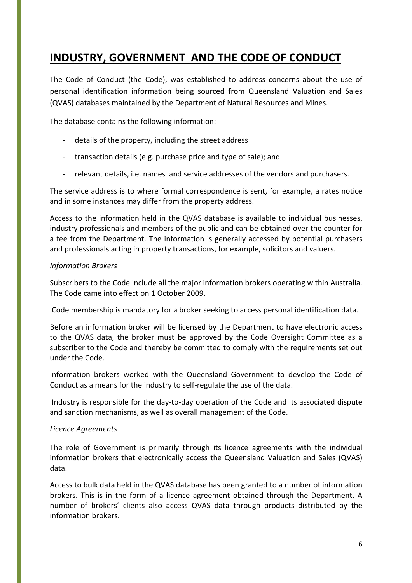### INDUSTRY, GOVERNMENT AND THE CODE OF CONDUCT

The Code of Conduct (the Code), was established to address concerns about the use of personal identification information being sourced from Queensland Valuation and Sales (QVAS) databases maintained by the Department of Natural Resources and Mines.

The database contains the following information:

- details of the property, including the street address
- transaction details (e.g. purchase price and type of sale); and
- relevant details, i.e. names and service addresses of the vendors and purchasers.

The service address is to where formal correspondence is sent, for example, a rates notice and in some instances may differ from the property address.

Access to the information held in the QVAS database is available to individual businesses, industry professionals and members of the public and can be obtained over the counter for a fee from the Department. The information is generally accessed by potential purchasers and professionals acting in property transactions, for example, solicitors and valuers.

#### Information Brokers

Subscribers to the Code include all the major information brokers operating within Australia. The Code came into effect on 1 October 2009.

Code membership is mandatory for a broker seeking to access personal identification data.

Before an information broker will be licensed by the Department to have electronic access to the QVAS data, the broker must be approved by the Code Oversight Committee as a subscriber to the Code and thereby be committed to comply with the requirements set out under the Code.

Information brokers worked with the Queensland Government to develop the Code of Conduct as a means for the industry to self-regulate the use of the data.

 Industry is responsible for the day-to-day operation of the Code and its associated dispute and sanction mechanisms, as well as overall management of the Code.

#### Licence Agreements

The role of Government is primarily through its licence agreements with the individual information brokers that electronically access the Queensland Valuation and Sales (QVAS) data.

Access to bulk data held in the QVAS database has been granted to a number of information brokers. This is in the form of a licence agreement obtained through the Department. A number of brokers' clients also access QVAS data through products distributed by the information brokers.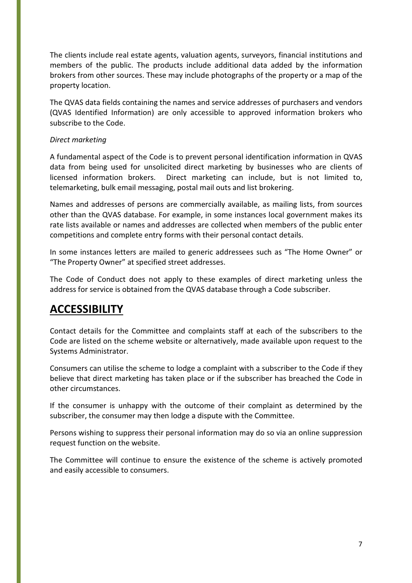The clients include real estate agents, valuation agents, surveyors, financial institutions and members of the public. The products include additional data added by the information brokers from other sources. These may include photographs of the property or a map of the property location.

The QVAS data fields containing the names and service addresses of purchasers and vendors (QVAS Identified Information) are only accessible to approved information brokers who subscribe to the Code.

#### Direct marketing

A fundamental aspect of the Code is to prevent personal identification information in QVAS data from being used for unsolicited direct marketing by businesses who are clients of licensed information brokers. Direct marketing can include, but is not limited to, telemarketing, bulk email messaging, postal mail outs and list brokering.

Names and addresses of persons are commercially available, as mailing lists, from sources other than the QVAS database. For example, in some instances local government makes its rate lists available or names and addresses are collected when members of the public enter competitions and complete entry forms with their personal contact details.

In some instances letters are mailed to generic addressees such as "The Home Owner" or "The Property Owner" at specified street addresses.

The Code of Conduct does not apply to these examples of direct marketing unless the address for service is obtained from the QVAS database through a Code subscriber.

### **ACCESSIBILITY**

Contact details for the Committee and complaints staff at each of the subscribers to the Code are listed on the scheme website or alternatively, made available upon request to the Systems Administrator.

Consumers can utilise the scheme to lodge a complaint with a subscriber to the Code if they believe that direct marketing has taken place or if the subscriber has breached the Code in other circumstances.

If the consumer is unhappy with the outcome of their complaint as determined by the subscriber, the consumer may then lodge a dispute with the Committee.

Persons wishing to suppress their personal information may do so via an online suppression request function on the website.

The Committee will continue to ensure the existence of the scheme is actively promoted and easily accessible to consumers.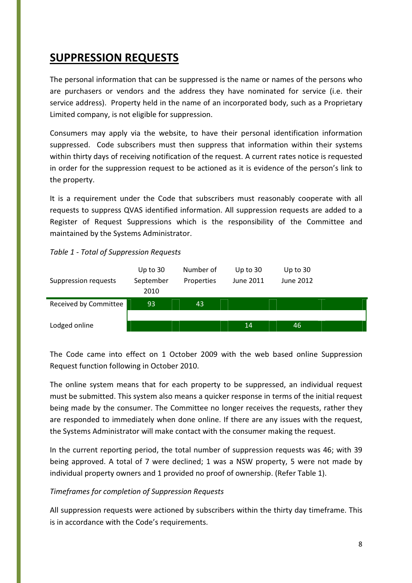### SUPPRESSION REQUESTS

The personal information that can be suppressed is the name or names of the persons who are purchasers or vendors and the address they have nominated for service (i.e. their service address). Property held in the name of an incorporated body, such as a Proprietary Limited company, is not eligible for suppression.

Consumers may apply via the website, to have their personal identification information suppressed. Code subscribers must then suppress that information within their systems within thirty days of receiving notification of the request. A current rates notice is requested in order for the suppression request to be actioned as it is evidence of the person's link to the property.

It is a requirement under the Code that subscribers must reasonably cooperate with all requests to suppress QVAS identified information. All suppression requests are added to a Register of Request Suppressions which is the responsibility of the Committee and maintained by the Systems Administrator.

#### Table 1 - Total of Suppression Requests



The Code came into effect on 1 October 2009 with the web based online Suppression Request function following in October 2010.

The online system means that for each property to be suppressed, an individual request must be submitted. This system also means a quicker response in terms of the initial request being made by the consumer. The Committee no longer receives the requests, rather they are responded to immediately when done online. If there are any issues with the request, the Systems Administrator will make contact with the consumer making the request.

In the current reporting period, the total number of suppression requests was 46; with 39 being approved. A total of 7 were declined; 1 was a NSW property, 5 were not made by individual property owners and 1 provided no proof of ownership. (Refer Table 1).

#### Timeframes for completion of Suppression Requests

All suppression requests were actioned by subscribers within the thirty day timeframe. This is in accordance with the Code's requirements.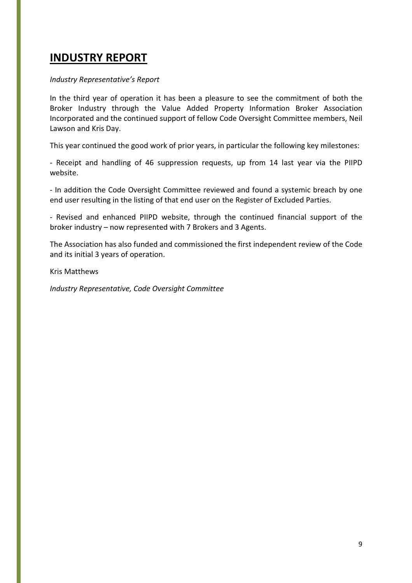### INDUSTRY REPORT

#### Industry Representative's Report

In the third year of operation it has been a pleasure to see the commitment of both the Broker Industry through the Value Added Property Information Broker Association Incorporated and the continued support of fellow Code Oversight Committee members, Neil Lawson and Kris Day.

This year continued the good work of prior years, in particular the following key milestones:

- Receipt and handling of 46 suppression requests, up from 14 last year via the PIIPD website.

- In addition the Code Oversight Committee reviewed and found a systemic breach by one end user resulting in the listing of that end user on the Register of Excluded Parties.

- Revised and enhanced PIIPD website, through the continued financial support of the broker industry – now represented with 7 Brokers and 3 Agents.

The Association has also funded and commissioned the first independent review of the Code and its initial 3 years of operation.

Kris Matthews

Industry Representative, Code Oversight Committee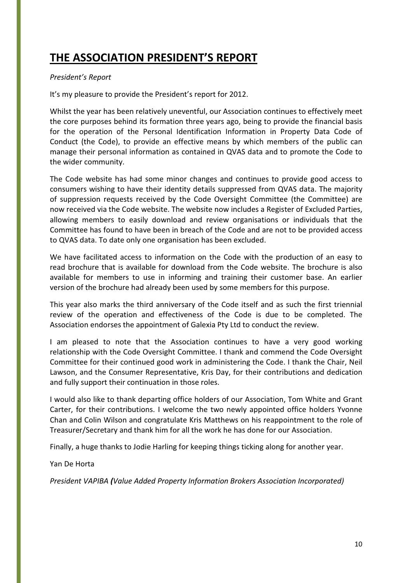### THE ASSOCIATION PRESIDENT'S REPORT

#### President's Report

It's my pleasure to provide the President's report for 2012.

Whilst the year has been relatively uneventful, our Association continues to effectively meet the core purposes behind its formation three years ago, being to provide the financial basis for the operation of the Personal Identification Information in Property Data Code of Conduct (the Code), to provide an effective means by which members of the public can manage their personal information as contained in QVAS data and to promote the Code to the wider community.

The Code website has had some minor changes and continues to provide good access to consumers wishing to have their identity details suppressed from QVAS data. The majority of suppression requests received by the Code Oversight Committee (the Committee) are now received via the Code website. The website now includes a Register of Excluded Parties, allowing members to easily download and review organisations or individuals that the Committee has found to have been in breach of the Code and are not to be provided access to QVAS data. To date only one organisation has been excluded.

We have facilitated access to information on the Code with the production of an easy to read brochure that is available for download from the Code website. The brochure is also available for members to use in informing and training their customer base. An earlier version of the brochure had already been used by some members for this purpose.

This year also marks the third anniversary of the Code itself and as such the first triennial review of the operation and effectiveness of the Code is due to be completed. The Association endorses the appointment of Galexia Pty Ltd to conduct the review.

I am pleased to note that the Association continues to have a very good working relationship with the Code Oversight Committee. I thank and commend the Code Oversight Committee for their continued good work in administering the Code. I thank the Chair, Neil Lawson, and the Consumer Representative, Kris Day, for their contributions and dedication and fully support their continuation in those roles.

I would also like to thank departing office holders of our Association, Tom White and Grant Carter, for their contributions. I welcome the two newly appointed office holders Yvonne Chan and Colin Wilson and congratulate Kris Matthews on his reappointment to the role of Treasurer/Secretary and thank him for all the work he has done for our Association.

Finally, a huge thanks to Jodie Harling for keeping things ticking along for another year.

Yan De Horta

President VAPIBA (Value Added Property Information Brokers Association Incorporated)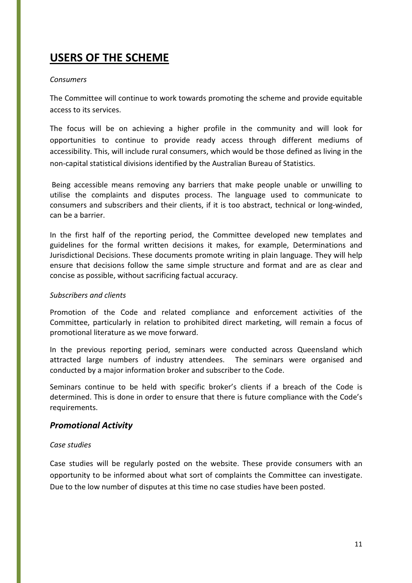### USERS OF THE SCHEME

#### **Consumers**

The Committee will continue to work towards promoting the scheme and provide equitable access to its services.

The focus will be on achieving a higher profile in the community and will look for opportunities to continue to provide ready access through different mediums of accessibility. This, will include rural consumers, which would be those defined as living in the non-capital statistical divisions identified by the Australian Bureau of Statistics.

 Being accessible means removing any barriers that make people unable or unwilling to utilise the complaints and disputes process. The language used to communicate to consumers and subscribers and their clients, if it is too abstract, technical or long-winded, can be a barrier.

In the first half of the reporting period, the Committee developed new templates and guidelines for the formal written decisions it makes, for example, Determinations and Jurisdictional Decisions. These documents promote writing in plain language. They will help ensure that decisions follow the same simple structure and format and are as clear and concise as possible, without sacrificing factual accuracy.

#### Subscribers and clients

Promotion of the Code and related compliance and enforcement activities of the Committee, particularly in relation to prohibited direct marketing, will remain a focus of promotional literature as we move forward.

In the previous reporting period, seminars were conducted across Queensland which attracted large numbers of industry attendees. The seminars were organised and conducted by a major information broker and subscriber to the Code.

Seminars continue to be held with specific broker's clients if a breach of the Code is determined. This is done in order to ensure that there is future compliance with the Code's requirements.

#### Promotional Activity

#### Case studies

Case studies will be regularly posted on the website. These provide consumers with an opportunity to be informed about what sort of complaints the Committee can investigate. Due to the low number of disputes at this time no case studies have been posted.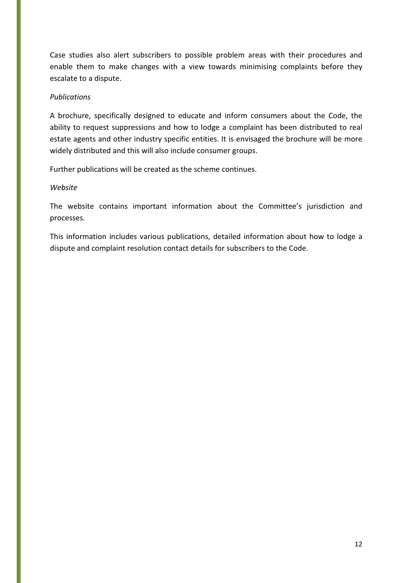Case studies also alert subscribers to possible problem areas with their procedures and enable them to make changes with a view towards minimising complaints before they escalate to a dispute.

#### Publications

A brochure, specifically designed to educate and inform consumers about the Code, the ability to request suppressions and how to lodge a complaint has been distributed to real estate agents and other industry specific entities. It is envisaged the brochure will be more widely distributed and this will also include consumer groups.

Further publications will be created as the scheme continues.

#### Website

The website contains important information about the Committee's jurisdiction and processes.

This information includes various publications, detailed information about how to lodge a dispute and complaint resolution contact details for subscribers to the Code.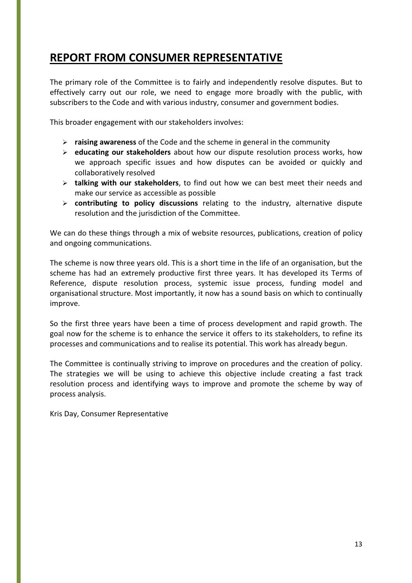### REPORT FROM CONSUMER REPRESENTATIVE

The primary role of the Committee is to fairly and independently resolve disputes. But to effectively carry out our role, we need to engage more broadly with the public, with subscribers to the Code and with various industry, consumer and government bodies.

This broader engagement with our stakeholders involves:

- $\triangleright$  raising awareness of the Code and the scheme in general in the community
- $\triangleright$  educating our stakeholders about how our dispute resolution process works, how we approach specific issues and how disputes can be avoided or quickly and collaboratively resolved
- $\triangleright$  talking with our stakeholders, to find out how we can best meet their needs and make our service as accessible as possible
- $\triangleright$  contributing to policy discussions relating to the industry, alternative dispute resolution and the jurisdiction of the Committee.

We can do these things through a mix of website resources, publications, creation of policy and ongoing communications.

The scheme is now three years old. This is a short time in the life of an organisation, but the scheme has had an extremely productive first three years. It has developed its Terms of Reference, dispute resolution process, systemic issue process, funding model and organisational structure. Most importantly, it now has a sound basis on which to continually improve.

So the first three years have been a time of process development and rapid growth. The goal now for the scheme is to enhance the service it offers to its stakeholders, to refine its processes and communications and to realise its potential. This work has already begun.

The Committee is continually striving to improve on procedures and the creation of policy. The strategies we will be using to achieve this objective include creating a fast track resolution process and identifying ways to improve and promote the scheme by way of process analysis.

Kris Day, Consumer Representative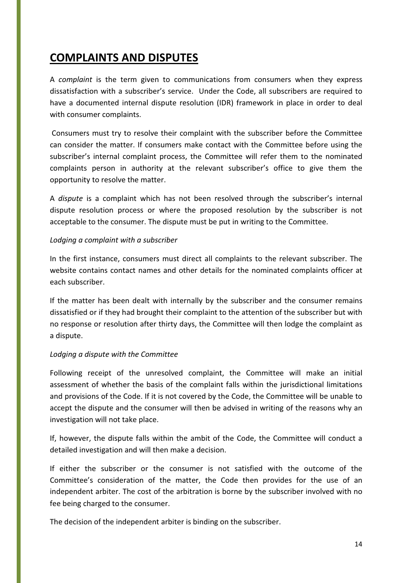### COMPLAINTS AND DISPUTES

A complaint is the term given to communications from consumers when they express dissatisfaction with a subscriber's service. Under the Code, all subscribers are required to have a documented internal dispute resolution (IDR) framework in place in order to deal with consumer complaints.

 Consumers must try to resolve their complaint with the subscriber before the Committee can consider the matter. If consumers make contact with the Committee before using the subscriber's internal complaint process, the Committee will refer them to the nominated complaints person in authority at the relevant subscriber's office to give them the opportunity to resolve the matter.

A *dispute* is a complaint which has not been resolved through the subscriber's internal dispute resolution process or where the proposed resolution by the subscriber is not acceptable to the consumer. The dispute must be put in writing to the Committee.

#### Lodging a complaint with a subscriber

In the first instance, consumers must direct all complaints to the relevant subscriber. The website contains contact names and other details for the nominated complaints officer at each subscriber.

If the matter has been dealt with internally by the subscriber and the consumer remains dissatisfied or if they had brought their complaint to the attention of the subscriber but with no response or resolution after thirty days, the Committee will then lodge the complaint as a dispute.

#### Lodging a dispute with the Committee

Following receipt of the unresolved complaint, the Committee will make an initial assessment of whether the basis of the complaint falls within the jurisdictional limitations and provisions of the Code. If it is not covered by the Code, the Committee will be unable to accept the dispute and the consumer will then be advised in writing of the reasons why an investigation will not take place.

If, however, the dispute falls within the ambit of the Code, the Committee will conduct a detailed investigation and will then make a decision.

If either the subscriber or the consumer is not satisfied with the outcome of the Committee's consideration of the matter, the Code then provides for the use of an independent arbiter. The cost of the arbitration is borne by the subscriber involved with no fee being charged to the consumer.

The decision of the independent arbiter is binding on the subscriber.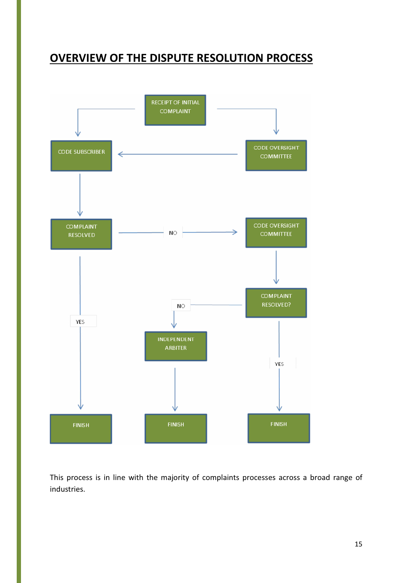### OVERVIEW OF THE DISPUTE RESOLUTION PROCESS



This process is in line with the majority of complaints processes across a broad range of industries.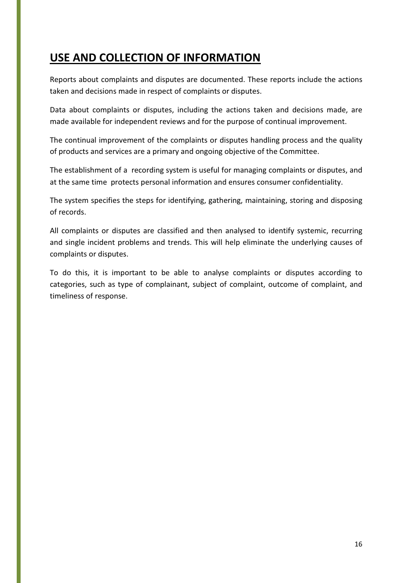### USE AND COLLECTION OF INFORMATION

Reports about complaints and disputes are documented. These reports include the actions taken and decisions made in respect of complaints or disputes.

Data about complaints or disputes, including the actions taken and decisions made, are made available for independent reviews and for the purpose of continual improvement.

The continual improvement of the complaints or disputes handling process and the quality of products and services are a primary and ongoing objective of the Committee.

The establishment of a recording system is useful for managing complaints or disputes, and at the same time protects personal information and ensures consumer confidentiality.

The system specifies the steps for identifying, gathering, maintaining, storing and disposing of records.

All complaints or disputes are classified and then analysed to identify systemic, recurring and single incident problems and trends. This will help eliminate the underlying causes of complaints or disputes.

To do this, it is important to be able to analyse complaints or disputes according to categories, such as type of complainant, subject of complaint, outcome of complaint, and timeliness of response.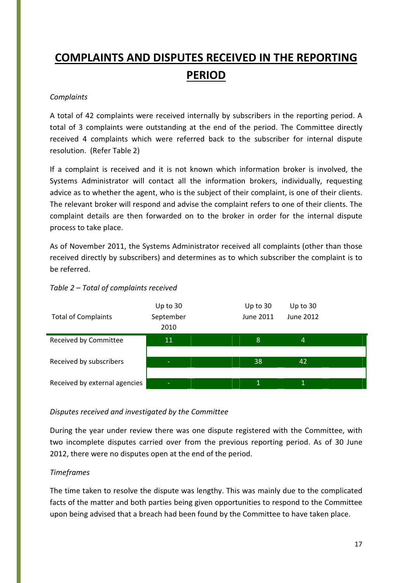# COMPLAINTS AND DISPUTES RECEIVED IN THE REPORTING PERIOD

#### Complaints

A total of 42 complaints were received internally by subscribers in the reporting period. A total of 3 complaints were outstanding at the end of the period. The Committee directly received 4 complaints which were referred back to the subscriber for internal dispute resolution. (Refer Table 2)

If a complaint is received and it is not known which information broker is involved, the Systems Administrator will contact all the information brokers, individually, requesting advice as to whether the agent, who is the subject of their complaint, is one of their clients. The relevant broker will respond and advise the complaint refers to one of their clients. The complaint details are then forwarded on to the broker in order for the internal dispute process to take place.

As of November 2011, the Systems Administrator received all complaints (other than those received directly by subscribers) and determines as to which subscriber the complaint is to be referred.



#### Table 2 – Total of complaints received

#### Disputes received and investigated by the Committee

During the year under review there was one dispute registered with the Committee, with two incomplete disputes carried over from the previous reporting period. As of 30 June 2012, there were no disputes open at the end of the period.

#### **Timeframes**

The time taken to resolve the dispute was lengthy. This was mainly due to the complicated facts of the matter and both parties being given opportunities to respond to the Committee upon being advised that a breach had been found by the Committee to have taken place.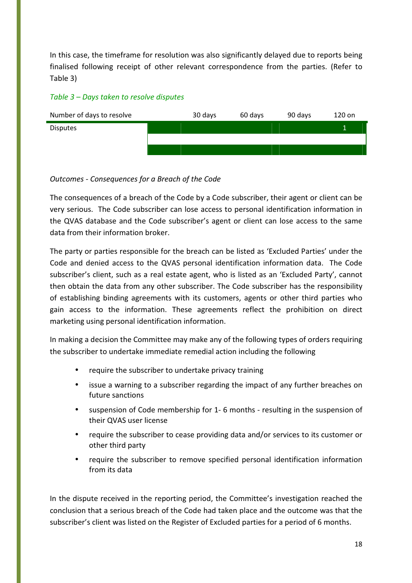In this case, the timeframe for resolution was also significantly delayed due to reports being finalised following receipt of other relevant correspondence from the parties. (Refer to Table 3)





#### Outcomes - Consequences for a Breach of the Code

The consequences of a breach of the Code by a Code subscriber, their agent or client can be very serious. The Code subscriber can lose access to personal identification information in the QVAS database and the Code subscriber's agent or client can lose access to the same data from their information broker.

The party or parties responsible for the breach can be listed as 'Excluded Parties' under the Code and denied access to the QVAS personal identification information data. The Code subscriber's client, such as a real estate agent, who is listed as an 'Excluded Party', cannot then obtain the data from any other subscriber. The Code subscriber has the responsibility of establishing binding agreements with its customers, agents or other third parties who gain access to the information. These agreements reflect the prohibition on direct marketing using personal identification information.

In making a decision the Committee may make any of the following types of orders requiring the subscriber to undertake immediate remedial action including the following

- require the subscriber to undertake privacy training
- issue a warning to a subscriber regarding the impact of any further breaches on future sanctions
- suspension of Code membership for 1-6 months resulting in the suspension of their QVAS user license
- require the subscriber to cease providing data and/or services to its customer or other third party
- require the subscriber to remove specified personal identification information from its data

In the dispute received in the reporting period, the Committee's investigation reached the conclusion that a serious breach of the Code had taken place and the outcome was that the subscriber's client was listed on the Register of Excluded parties for a period of 6 months.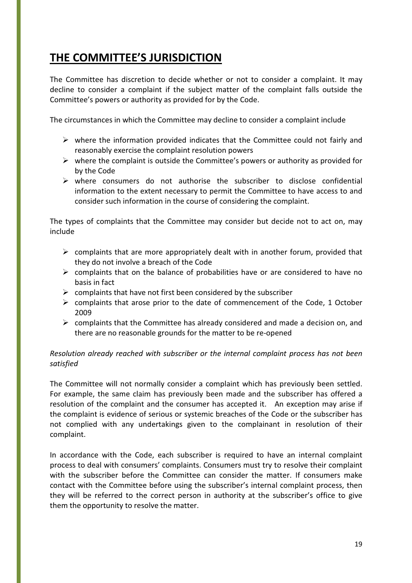### THE COMMITTEE'S JURISDICTION

The Committee has discretion to decide whether or not to consider a complaint. It may decline to consider a complaint if the subject matter of the complaint falls outside the Committee's powers or authority as provided for by the Code.

The circumstances in which the Committee may decline to consider a complaint include

- $\triangleright$  where the information provided indicates that the Committee could not fairly and reasonably exercise the complaint resolution powers
- $\triangleright$  where the complaint is outside the Committee's powers or authority as provided for by the Code
- $\triangleright$  where consumers do not authorise the subscriber to disclose confidential information to the extent necessary to permit the Committee to have access to and consider such information in the course of considering the complaint.

The types of complaints that the Committee may consider but decide not to act on, may include

- $\triangleright$  complaints that are more appropriately dealt with in another forum, provided that they do not involve a breach of the Code
- $\triangleright$  complaints that on the balance of probabilities have or are considered to have no basis in fact
- $\triangleright$  complaints that have not first been considered by the subscriber
- $\triangleright$  complaints that arose prior to the date of commencement of the Code, 1 October 2009
- $\triangleright$  complaints that the Committee has already considered and made a decision on, and there are no reasonable grounds for the matter to be re-opened

#### Resolution already reached with subscriber or the internal complaint process has not been satisfied

The Committee will not normally consider a complaint which has previously been settled. For example, the same claim has previously been made and the subscriber has offered a resolution of the complaint and the consumer has accepted it. An exception may arise if the complaint is evidence of serious or systemic breaches of the Code or the subscriber has not complied with any undertakings given to the complainant in resolution of their complaint.

In accordance with the Code, each subscriber is required to have an internal complaint process to deal with consumers' complaints. Consumers must try to resolve their complaint with the subscriber before the Committee can consider the matter. If consumers make contact with the Committee before using the subscriber's internal complaint process, then they will be referred to the correct person in authority at the subscriber's office to give them the opportunity to resolve the matter.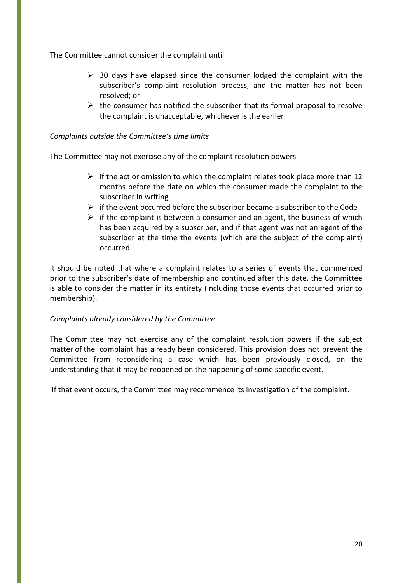The Committee cannot consider the complaint until

- $\geq$  30 days have elapsed since the consumer lodged the complaint with the subscriber's complaint resolution process, and the matter has not been resolved; or
- $\triangleright$  the consumer has notified the subscriber that its formal proposal to resolve the complaint is unacceptable, whichever is the earlier.

#### Complaints outside the Committee's time limits

The Committee may not exercise any of the complaint resolution powers

- $\triangleright$  if the act or omission to which the complaint relates took place more than 12 months before the date on which the consumer made the complaint to the subscriber in writing
- $\triangleright$  if the event occurred before the subscriber became a subscriber to the Code
- $\triangleright$  if the complaint is between a consumer and an agent, the business of which has been acquired by a subscriber, and if that agent was not an agent of the subscriber at the time the events (which are the subject of the complaint) occurred.

It should be noted that where a complaint relates to a series of events that commenced prior to the subscriber's date of membership and continued after this date, the Committee is able to consider the matter in its entirety (including those events that occurred prior to membership).

#### Complaints already considered by the Committee

The Committee may not exercise any of the complaint resolution powers if the subject matter of the complaint has already been considered. This provision does not prevent the Committee from reconsidering a case which has been previously closed, on the understanding that it may be reopened on the happening of some specific event.

If that event occurs, the Committee may recommence its investigation of the complaint.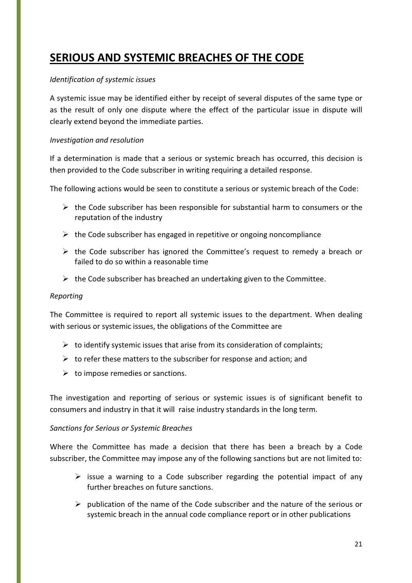### SERIOUS AND SYSTEMIC BREACHES OF THE CODE

#### Identification of systemic issues

A systemic issue may be identified either by receipt of several disputes of the same type or as the result of only one dispute where the effect of the particular issue in dispute will clearly extend beyond the immediate parties.

#### Investigation and resolution

If a determination is made that a serious or systemic breach has occurred, this decision is then provided to the Code subscriber in writing requiring a detailed response.

The following actions would be seen to constitute a serious or systemic breach of the Code:

- $\triangleright$  the Code subscriber has been responsible for substantial harm to consumers or the reputation of the industry
- $\triangleright$  the Code subscriber has engaged in repetitive or ongoing noncompliance
- $\triangleright$  the Code subscriber has ignored the Committee's request to remedy a breach or failed to do so within a reasonable time
- $\triangleright$  the Code subscriber has breached an undertaking given to the Committee.

#### Reporting

The Committee is required to report all systemic issues to the department. When dealing with serious or systemic issues, the obligations of the Committee are

- $\triangleright$  to identify systemic issues that arise from its consideration of complaints;
- $\triangleright$  to refer these matters to the subscriber for response and action; and
- $\triangleright$  to impose remedies or sanctions.

The investigation and reporting of serious or systemic issues is of significant benefit to consumers and industry in that it will raise industry standards in the long term.

#### Sanctions for Serious or Systemic Breaches

Where the Committee has made a decision that there has been a breach by a Code subscriber, the Committee may impose any of the following sanctions but are not limited to:

- $\triangleright$  issue a warning to a Code subscriber regarding the potential impact of any further breaches on future sanctions.
- $\triangleright$  publication of the name of the Code subscriber and the nature of the serious or systemic breach in the annual code compliance report or in other publications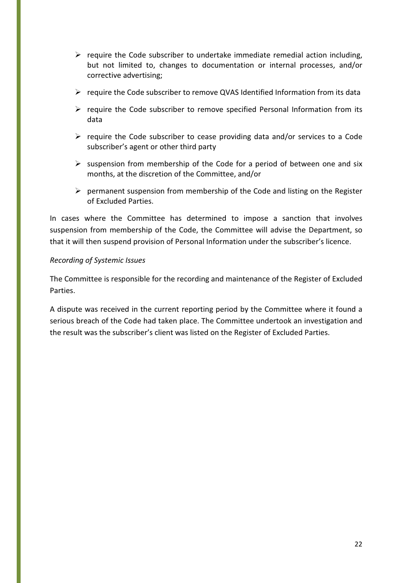- $\triangleright$  require the Code subscriber to undertake immediate remedial action including, but not limited to, changes to documentation or internal processes, and/or corrective advertising;
- $\triangleright$  require the Code subscriber to remove QVAS Identified Information from its data
- $\triangleright$  require the Code subscriber to remove specified Personal Information from its data
- $\triangleright$  require the Code subscriber to cease providing data and/or services to a Code subscriber's agent or other third party
- $\triangleright$  suspension from membership of the Code for a period of between one and six months, at the discretion of the Committee, and/or
- $\triangleright$  permanent suspension from membership of the Code and listing on the Register of Excluded Parties.

In cases where the Committee has determined to impose a sanction that involves suspension from membership of the Code, the Committee will advise the Department, so that it will then suspend provision of Personal Information under the subscriber's licence.

#### Recording of Systemic Issues

The Committee is responsible for the recording and maintenance of the Register of Excluded Parties.

A dispute was received in the current reporting period by the Committee where it found a serious breach of the Code had taken place. The Committee undertook an investigation and the result was the subscriber's client was listed on the Register of Excluded Parties.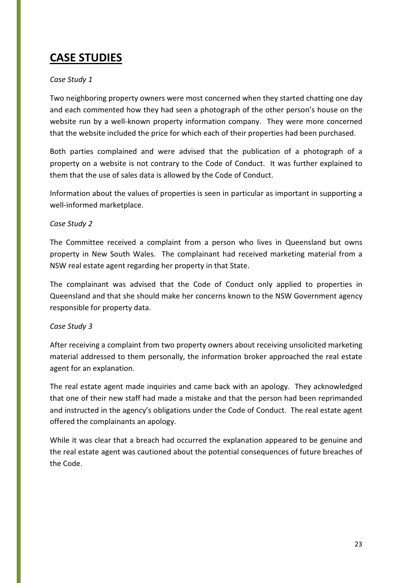### CASE STUDIES

#### Case Study 1

Two neighboring property owners were most concerned when they started chatting one day and each commented how they had seen a photograph of the other person's house on the website run by a well-known property information company. They were more concerned that the website included the price for which each of their properties had been purchased.

Both parties complained and were advised that the publication of a photograph of a property on a website is not contrary to the Code of Conduct. It was further explained to them that the use of sales data is allowed by the Code of Conduct.

Information about the values of properties is seen in particular as important in supporting a well-informed marketplace.

#### Case Study 2

The Committee received a complaint from a person who lives in Queensland but owns property in New South Wales. The complainant had received marketing material from a NSW real estate agent regarding her property in that State.

The complainant was advised that the Code of Conduct only applied to properties in Queensland and that she should make her concerns known to the NSW Government agency responsible for property data.

#### Case Study 3

After receiving a complaint from two property owners about receiving unsolicited marketing material addressed to them personally, the information broker approached the real estate agent for an explanation.

The real estate agent made inquiries and came back with an apology. They acknowledged that one of their new staff had made a mistake and that the person had been reprimanded and instructed in the agency's obligations under the Code of Conduct. The real estate agent offered the complainants an apology.

While it was clear that a breach had occurred the explanation appeared to be genuine and the real estate agent was cautioned about the potential consequences of future breaches of the Code.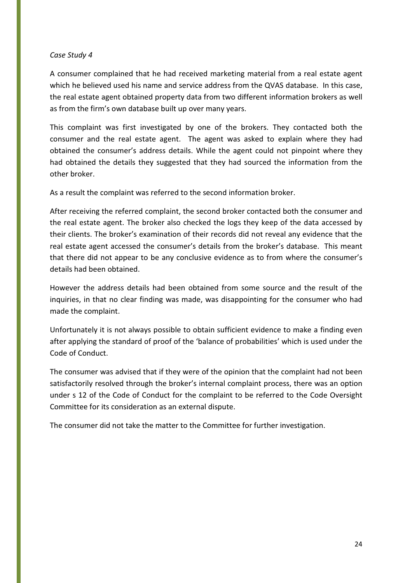#### Case Study 4

A consumer complained that he had received marketing material from a real estate agent which he believed used his name and service address from the QVAS database. In this case, the real estate agent obtained property data from two different information brokers as well as from the firm's own database built up over many years.

This complaint was first investigated by one of the brokers. They contacted both the consumer and the real estate agent. The agent was asked to explain where they had obtained the consumer's address details. While the agent could not pinpoint where they had obtained the details they suggested that they had sourced the information from the other broker.

As a result the complaint was referred to the second information broker.

After receiving the referred complaint, the second broker contacted both the consumer and the real estate agent. The broker also checked the logs they keep of the data accessed by their clients. The broker's examination of their records did not reveal any evidence that the real estate agent accessed the consumer's details from the broker's database. This meant that there did not appear to be any conclusive evidence as to from where the consumer's details had been obtained.

However the address details had been obtained from some source and the result of the inquiries, in that no clear finding was made, was disappointing for the consumer who had made the complaint.

Unfortunately it is not always possible to obtain sufficient evidence to make a finding even after applying the standard of proof of the 'balance of probabilities' which is used under the Code of Conduct.

The consumer was advised that if they were of the opinion that the complaint had not been satisfactorily resolved through the broker's internal complaint process, there was an option under s 12 of the Code of Conduct for the complaint to be referred to the Code Oversight Committee for its consideration as an external dispute.

The consumer did not take the matter to the Committee for further investigation.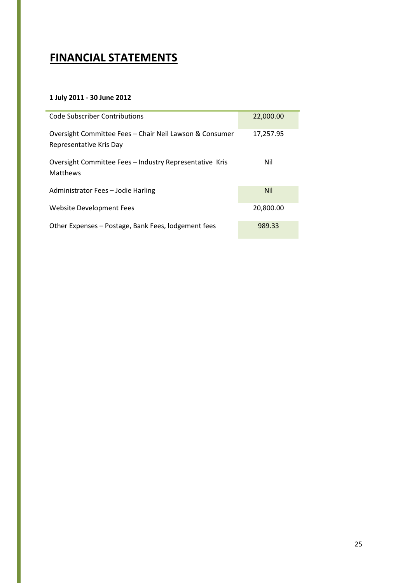### FINANCIAL STATEMENTS

#### 1 July 2011 - 30 June 2012

| Code Subscriber Contributions                           | 22,000.00  |
|---------------------------------------------------------|------------|
| Oversight Committee Fees – Chair Neil Lawson & Consumer | 17,257.95  |
| Representative Kris Day                                 |            |
| Oversight Committee Fees – Industry Representative Kris | Nil        |
| Matthews                                                |            |
| Administrator Fees – Jodie Harling                      | <b>Nil</b> |
| Website Development Fees                                | 20,800.00  |
| Other Expenses - Postage, Bank Fees, lodgement fees     | 989.33     |
|                                                         |            |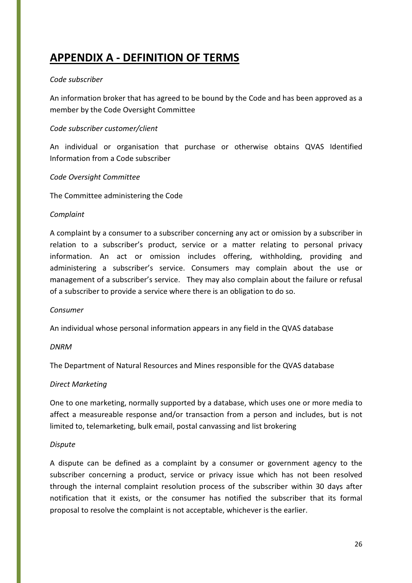### APPENDIX A - DEFINITION OF TERMS

#### Code subscriber

An information broker that has agreed to be bound by the Code and has been approved as a member by the Code Oversight Committee

#### Code subscriber customer/client

An individual or organisation that purchase or otherwise obtains QVAS Identified Information from a Code subscriber

#### Code Oversight Committee

The Committee administering the Code

#### Complaint

A complaint by a consumer to a subscriber concerning any act or omission by a subscriber in relation to a subscriber's product, service or a matter relating to personal privacy information. An act or omission includes offering, withholding, providing and administering a subscriber's service. Consumers may complain about the use or management of a subscriber's service. They may also complain about the failure or refusal of a subscriber to provide a service where there is an obligation to do so.

#### Consumer

An individual whose personal information appears in any field in the QVAS database

#### DNRM

The Department of Natural Resources and Mines responsible for the QVAS database

#### Direct Marketing

One to one marketing, normally supported by a database, which uses one or more media to affect a measureable response and/or transaction from a person and includes, but is not limited to, telemarketing, bulk email, postal canvassing and list brokering

#### **Dispute**

A dispute can be defined as a complaint by a consumer or government agency to the subscriber concerning a product, service or privacy issue which has not been resolved through the internal complaint resolution process of the subscriber within 30 days after notification that it exists, or the consumer has notified the subscriber that its formal proposal to resolve the complaint is not acceptable, whichever is the earlier.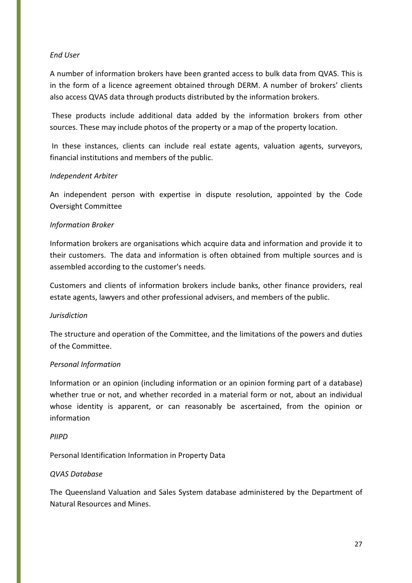#### End User

A number of information brokers have been granted access to bulk data from QVAS. This is in the form of a licence agreement obtained through DERM. A number of brokers' clients also access QVAS data through products distributed by the information brokers.

 These products include additional data added by the information brokers from other sources. These may include photos of the property or a map of the property location.

 In these instances, clients can include real estate agents, valuation agents, surveyors, financial institutions and members of the public.

#### Independent Arbiter

An independent person with expertise in dispute resolution, appointed by the Code Oversight Committee

#### Information Broker

Information brokers are organisations which acquire data and information and provide it to their customers. The data and information is often obtained from multiple sources and is assembled according to the customer's needs.

Customers and clients of information brokers include banks, other finance providers, real estate agents, lawyers and other professional advisers, and members of the public.

#### Jurisdiction

The structure and operation of the Committee, and the limitations of the powers and duties of the Committee.

#### Personal Information

Information or an opinion (including information or an opinion forming part of a database) whether true or not, and whether recorded in a material form or not, about an individual whose identity is apparent, or can reasonably be ascertained, from the opinion or information

#### PIIPD

Personal Identification Information in Property Data

#### QVAS Database

The Queensland Valuation and Sales System database administered by the Department of Natural Resources and Mines.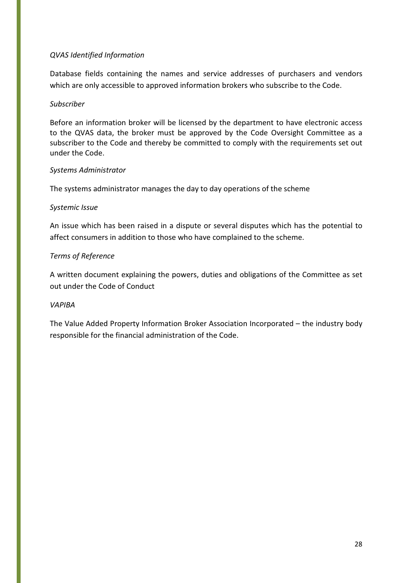#### QVAS Identified Information

Database fields containing the names and service addresses of purchasers and vendors which are only accessible to approved information brokers who subscribe to the Code.

#### Subscriber

Before an information broker will be licensed by the department to have electronic access to the QVAS data, the broker must be approved by the Code Oversight Committee as a subscriber to the Code and thereby be committed to comply with the requirements set out under the Code.

#### Systems Administrator

The systems administrator manages the day to day operations of the scheme

#### Systemic Issue

An issue which has been raised in a dispute or several disputes which has the potential to affect consumers in addition to those who have complained to the scheme.

#### Terms of Reference

A written document explaining the powers, duties and obligations of the Committee as set out under the Code of Conduct

#### **VAPIRA**

The Value Added Property Information Broker Association Incorporated – the industry body responsible for the financial administration of the Code.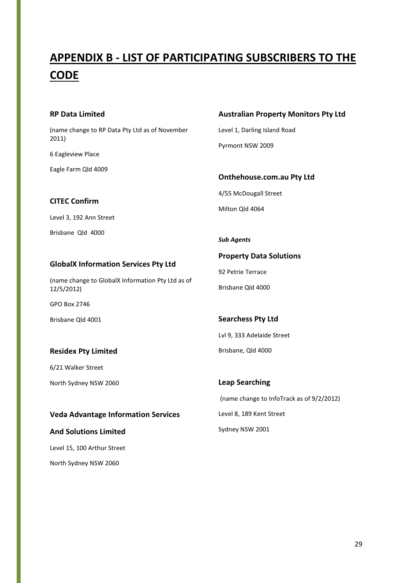# APPENDIX B - LIST OF PARTICIPATING SUBSCRIBERS TO THE **CODE**

#### RP Data Limited

(name change to RP Data Pty Ltd as of November 2011)

6 Eagleview Place

Eagle Farm Qld 4009

#### Australian Property Monitors Pty Ltd

Level 1, Darling Island Road Pyrmont NSW 2009

Onthehouse.com.au Pty Ltd 4/55 McDougall Street

Milton Qld 4064

# CITEC Confirm

Level 3, 192 Ann Street

Brisbane Qld 4000

#### GlobalX Information Services Pty Ltd

(name change to GlobalX Information Pty Ltd as of 12/5/2012)

GPO Box 2746

Brisbane Qld 4001

#### Residex Pty Limited

6/21 Walker Street

North Sydney NSW 2060

#### Veda Advantage Information Services

#### And Solutions Limited

Level 15, 100 Arthur Street

North Sydney NSW 2060

#### Sub Agents

Property Data Solutions 92 Petrie Terrace Brisbane Qld 4000

Searchess Pty Ltd Lvl 9, 333 Adelaide Street Brisbane, Qld 4000

Leap Searching (name change to InfoTrack as of 9/2/2012) Level 8, 189 Kent Street Sydney NSW 2001